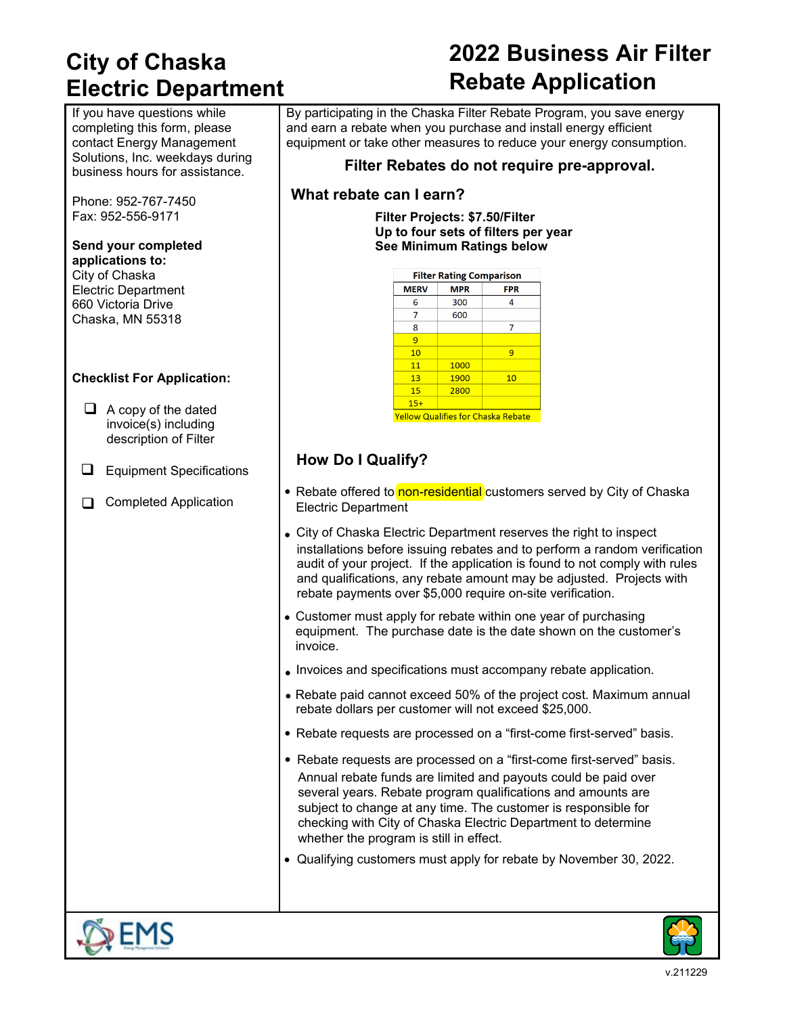## **City of Chaska Electric Department**

If you have questions while completing this form, please contact Energy Management Solutions, Inc. weekdays during business hours for assistance.

Phone: 952-767-7450 Fax: 952-556-9171

#### **Send your completed applications to:** City of Chaska Electric Department

660 Victoria Drive Chaska, MN 55318

#### **Checklist For Application:**

- $\Box$  A copy of the dated invoice(s) including description of Filter
- **E** Equipment Specifications
- Completed Application

# **2022 Business Air Filter Rebate Application**

By participating in the Chaska Filter Rebate Program, you save energy and earn a rebate when you purchase and install energy efficient equipment or take other measures to reduce your energy consumption.

### **Filter Rebates do not require pre-approval.**

### **What rebate can I earn?**

**Filter Projects: \$7.50/Filter Up to four sets of filters per year See Minimum Ratings below**

| <b>Filter Rating Comparison</b> |            |                                    |  |  |
|---------------------------------|------------|------------------------------------|--|--|
| <b>MERV</b>                     | <b>MPR</b> | <b>FPR</b>                         |  |  |
| 6                               | 300        | 4                                  |  |  |
| 7                               | 600        |                                    |  |  |
| 8                               |            | 7                                  |  |  |
| 9                               |            |                                    |  |  |
| 10                              |            | 9                                  |  |  |
| 11                              | 1000       |                                    |  |  |
| 13                              | 1900       | 10                                 |  |  |
| 15                              | 2800       |                                    |  |  |
| $15+$                           |            |                                    |  |  |
|                                 |            | Vellow Qualifies for Chaska Rebate |  |  |

### **How Do I Qualify?**

- Rebate offered to non-residential customers served by City of Chaska Electric Department
- City of Chaska Electric Department reserves the right to inspect installations before issuing rebates and to perform a random verification audit of your project. If the application is found to not comply with rules and qualifications, any rebate amount may be adjusted. Projects with rebate payments over \$5,000 require on-site verification.
- Customer must apply for rebate within one year of purchasing equipment. The purchase date is the date shown on the customer's invoice.
- Invoices and specifications must accompany rebate application.
- Rebate paid cannot exceed 50% of the project cost. Maximum annual rebate dollars per customer will not exceed \$25,000.
- Rebate requests are processed on a "first-come first-served" basis.
- Rebate requests are processed on a "first-come first-served" basis. Annual rebate funds are limited and payouts could be paid over several years. Rebate program qualifications and amounts are subject to change at any time. The customer is responsible for checking with City of Chaska Electric Department to determine whether the program is still in effect.
- Qualifying customers must apply for rebate by November 30, 2022.